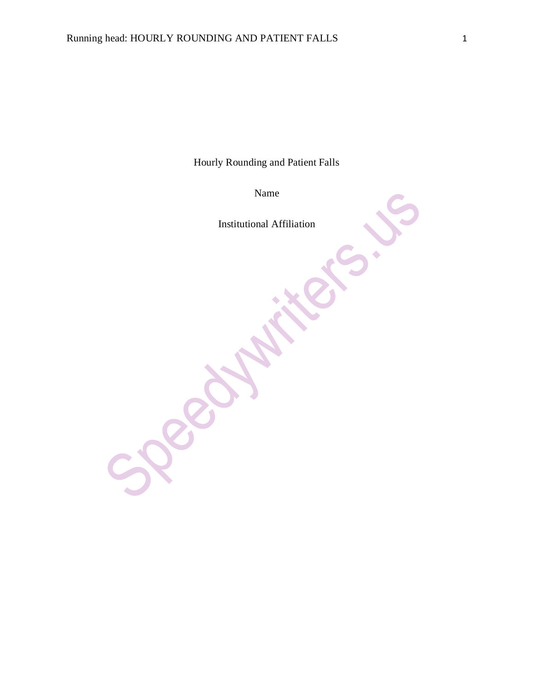Hourly Rounding and Patient Falls

Name

Institutional Affiliation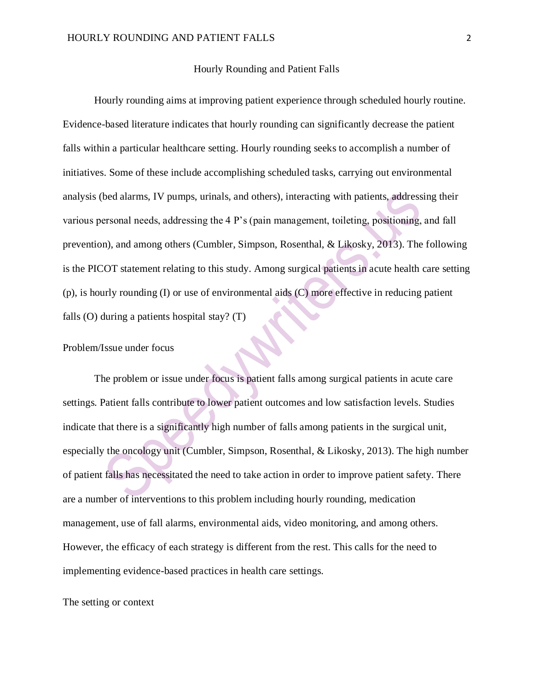#### Hourly Rounding and Patient Falls

Hourly rounding aims at improving patient experience through scheduled hourly routine. Evidence-based literature indicates that hourly rounding can significantly decrease the patient falls within a particular healthcare setting. Hourly rounding seeks to accomplish a number of initiatives. Some of these include accomplishing scheduled tasks, carrying out environmental analysis (bed alarms, IV pumps, urinals, and others), interacting with patients, addressing their various personal needs, addressing the 4 P's (pain management, toileting, positioning, and fall prevention), and among others (Cumbler, Simpson, Rosenthal, & Likosky, 2013). The following is the PICOT statement relating to this study. Among surgical patients in acute health care setting (p), is hourly rounding (I) or use of environmental aids (C) more effective in reducing patient falls (O) during a patients hospital stay? (T)

Problem/Issue under focus

The problem or issue under focus is patient falls among surgical patients in acute care settings. Patient falls contribute to lower patient outcomes and low satisfaction levels. Studies indicate that there is a significantly high number of falls among patients in the surgical unit, especially the oncology unit (Cumbler, Simpson, Rosenthal, & Likosky, 2013). The high number of patient falls has necessitated the need to take action in order to improve patient safety. There are a number of interventions to this problem including hourly rounding, medication management, use of fall alarms, environmental aids, video monitoring, and among others. However, the efficacy of each strategy is different from the rest. This calls for the need to implementing evidence-based practices in health care settings.

The setting or context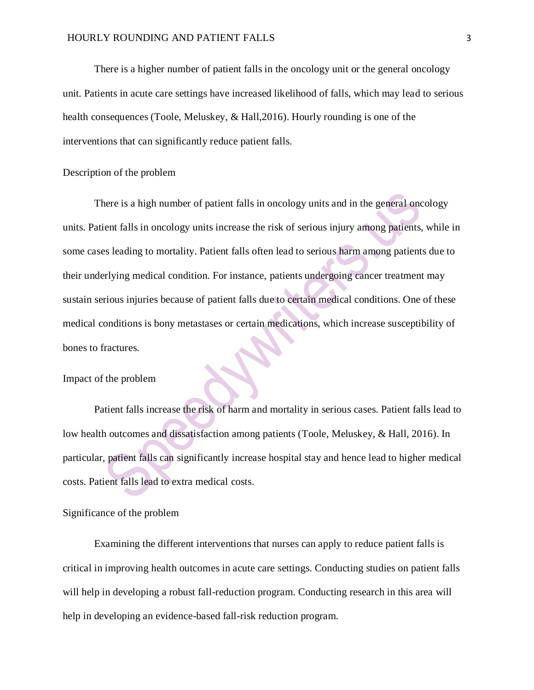There is a higher number of patient falls in the oncology unit or the general oncology unit. Patients in acute care settings have increased likelihood of falls, which may lead to serious health consequences (Toole, Meluskey, & Hall,2016). Hourly rounding is one of the interventions that can significantly reduce patient falls.

## Description of the problem

There is a high number of patient falls in oncology units and in the general oncology units. Patient falls in oncology units increase the risk of serious injury among patients, while in some cases leading to mortality. Patient falls often lead to serious harm among patients due to their underlying medical condition. For instance, patients undergoing cancer treatment may sustain serious injuries because of patient falls due to certain medical conditions. One of these medical conditions is bony metastases or certain medications, which increase susceptibility of bones to fractures.

### Impact of the problem

Patient falls increase the risk of harm and mortality in serious cases. Patient falls lead to low health outcomes and dissatisfaction among patients (Toole, Meluskey, & Hall, 2016). In particular, patient falls can significantly increase hospital stay and hence lead to higher medical costs. Patient falls lead to extra medical costs.

## Significance of the problem

Examining the different interventions that nurses can apply to reduce patient falls is critical in improving health outcomes in acute care settings. Conducting studies on patient falls will help in developing a robust fall-reduction program. Conducting research in this area will help in developing an evidence-based fall-risk reduction program.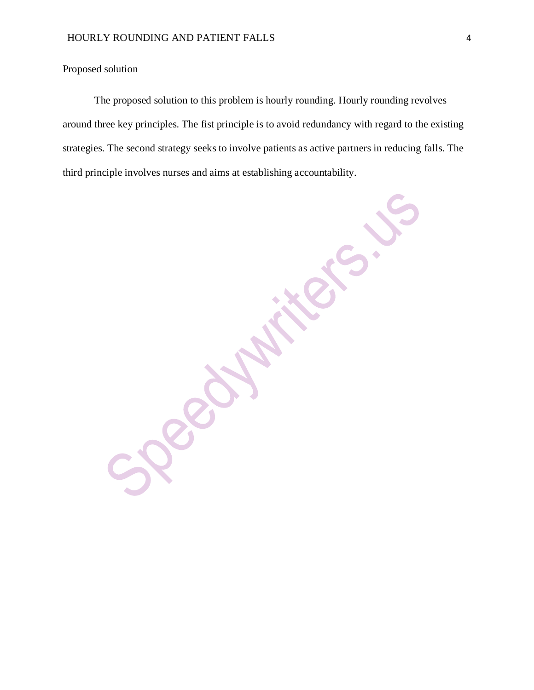Proposed solution

The proposed solution to this problem is hourly rounding. Hourly rounding revolves around three key principles. The fist principle is to avoid redundancy with regard to the existing strategies. The second strategy seeks to involve patients as active partners in reducing falls. The third principle involves nurses and aims at establishing accountability.